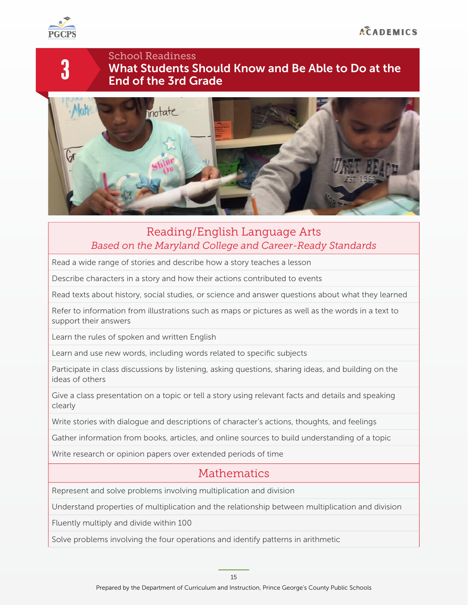

3

### School Readiness What Students Should Know and Be Able to Do at the End of the 3rd Grade



### Reading/English Language Arts *Based on the Maryland College and Career-Ready Standards*

Read a wide range of stories and describe how a story teaches a lesson

Describe characters in a story and how their actions contributed to events

Read texts about history, social studies, or science and answer questions about what they learned

Refer to information from illustrations such as maps or pictures as well as the words in a text to support their answers

Learn the rules of spoken and written English

Learn and use new words, including words related to specific subjects

Participate in class discussions by listening, asking questions, sharing ideas, and building on the ideas of others

Give a class presentation on a topic or tell a story using relevant facts and details and speaking clearly

Write stories with dialogue and descriptions of character's actions, thoughts, and feelings

Gather information from books, articles, and online sources to build understanding of a topic

Write research or opinion papers over extended periods of time

## Mathematics

Represent and solve problems involving multiplication and division

Understand properties of multiplication and the relationship between multiplication and division

Fluently multiply and divide within 100

Solve problems involving the four operations and identify patterns in arithmetic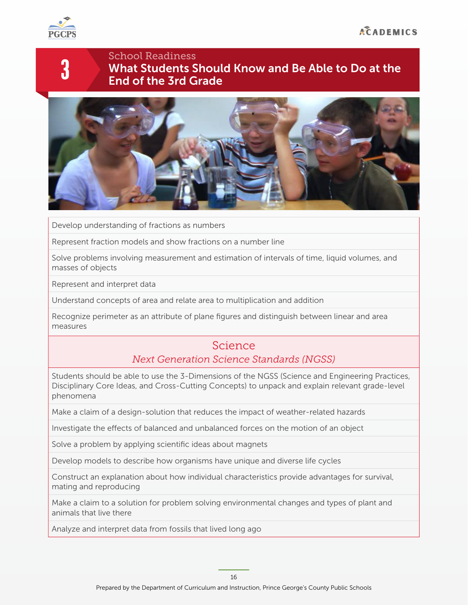

3

## School Readiness What Students Should Know and Be Able to Do at the End of the 3rd Grade



Develop understanding of fractions as numbers

Represent fraction models and show fractions on a number line

Solve problems involving measurement and estimation of intervals of time, liquid volumes, and masses of objects

Represent and interpret data

Understand concepts of area and relate area to multiplication and addition

Recognize perimeter as an attribute of plane figures and distinguish between linear and area measures

### Science

#### *Next Generation Science Standards (NGSS)*

Students should be able to use the 3-Dimensions of the NGSS (Science and Engineering Practices, Disciplinary Core Ideas, and Cross-Cutting Concepts) to unpack and explain relevant grade-level phenomena

Make a claim of a design-solution that reduces the impact of weather-related hazards

Investigate the efects of balanced and unbalanced forces on the motion of an object

Solve a problem by applying scientific ideas about magnets

Develop models to describe how organisms have unique and diverse life cycles

Construct an explanation about how individual characteristics provide advantages for survival, mating and reproducing

Make a claim to a solution for problem solving environmental changes and types of plant and animals that live there

Analyze and interpret data from fossils that lived long ago